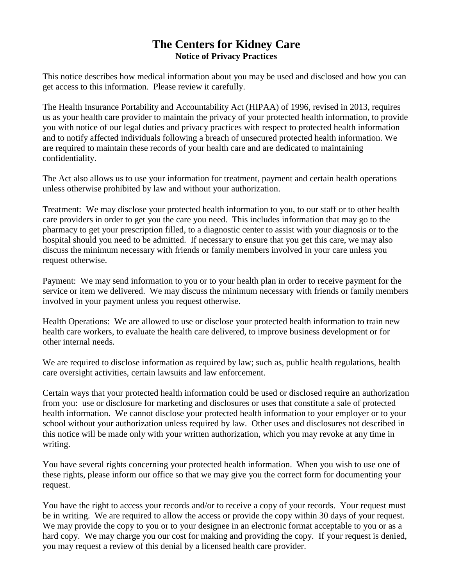## **The Centers for Kidney Care Notice of Privacy Practices**

This notice describes how medical information about you may be used and disclosed and how you can get access to this information. Please review it carefully.

The Health Insurance Portability and Accountability Act (HIPAA) of 1996, revised in 2013, requires us as your health care provider to maintain the privacy of your protected health information, to provide you with notice of our legal duties and privacy practices with respect to protected health information and to notify affected individuals following a breach of unsecured protected health information. We are required to maintain these records of your health care and are dedicated to maintaining confidentiality.

The Act also allows us to use your information for treatment, payment and certain health operations unless otherwise prohibited by law and without your authorization.

Treatment: We may disclose your protected health information to you, to our staff or to other health care providers in order to get you the care you need. This includes information that may go to the pharmacy to get your prescription filled, to a diagnostic center to assist with your diagnosis or to the hospital should you need to be admitted. If necessary to ensure that you get this care, we may also discuss the minimum necessary with friends or family members involved in your care unless you request otherwise.

Payment: We may send information to you or to your health plan in order to receive payment for the service or item we delivered. We may discuss the minimum necessary with friends or family members involved in your payment unless you request otherwise.

Health Operations: We are allowed to use or disclose your protected health information to train new health care workers, to evaluate the health care delivered, to improve business development or for other internal needs.

We are required to disclose information as required by law; such as, public health regulations, health care oversight activities, certain lawsuits and law enforcement.

Certain ways that your protected health information could be used or disclosed require an authorization from you: use or disclosure for marketing and disclosures or uses that constitute a sale of protected health information. We cannot disclose your protected health information to your employer or to your school without your authorization unless required by law. Other uses and disclosures not described in this notice will be made only with your written authorization, which you may revoke at any time in writing.

You have several rights concerning your protected health information. When you wish to use one of these rights, please inform our office so that we may give you the correct form for documenting your request.

You have the right to access your records and/or to receive a copy of your records. Your request must be in writing. We are required to allow the access or provide the copy within 30 days of your request. We may provide the copy to you or to your designee in an electronic format acceptable to you or as a hard copy. We may charge you our cost for making and providing the copy. If your request is denied, you may request a review of this denial by a licensed health care provider.